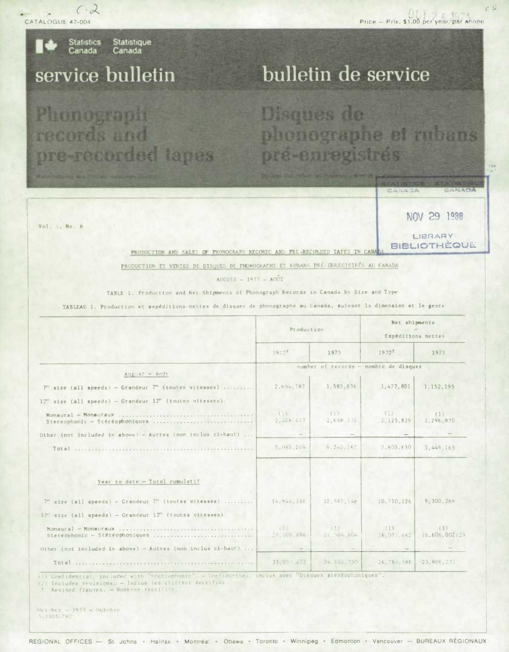CATALOGUE 47-004

Price - Prix: \$1.00 per year, par année

 $\epsilon$  2

# service bulletin

Statistics Statistique<br>Canada Canada

 $\left(\cdot, \frac{1}{2}\right)$ 

## bulletin de service

Phonograph records and pre-recorded tapes Disques de phonographe et rubans



NOV 29 1988

LIBRARY **BIBLIOTHÈQUE** 

CANADA

FRODUCTION AND SALES OF PHONOGRAPH RECORDS AND PRE-RECORDED TAPES

PRODUCTION ET VENTES DE DISQUES DE PHONOGRAPHE ET RUBANS PRÉ-ENREGISTRÉS AU CANADA

 $AUGUST = 1973 - AOÜT$ 

TABLE 1. Production and Net Shipments of Phonograph Records in Canada by Size and Type

TABLEAU 1. Production et expéditions nettes de disques de phonographe au Canada, suivant la dimension et le genre

|                                                                   | Production                            |                   | Net shipments<br>Expéditions nettes |                      |
|-------------------------------------------------------------------|---------------------------------------|-------------------|-------------------------------------|----------------------|
|                                                                   | $1972$ <sup>r</sup>                   | 1973              | $1972$ <sup>T</sup>                 | 1973                 |
| $August - Aolt$                                                   | number of records - nombre de disques |                   |                                     |                      |
| $7n$ size (all speeds) - Grandeur $7n$ (toutes vitesses)          | 2.654.787                             | 1,583,836         | 1, 477, 801                         | 1,152,195            |
| $12n$ size (all speeds) - Grandeur $12n$ (toutes vitesses):       |                                       |                   |                                     |                      |
| Stereophonic - Stéréophoniques                                    | (1)<br>2,428.417                      | (1)<br>2,658,331  | (1)<br>2,125,829                    | (1)<br>2,296,970     |
| Other (not included in above) - Autres (non inclus ci-haut)       |                                       |                   |                                     |                      |
|                                                                   | 5.081.204                             | $-241.167$        | 3,603,630                           | 3,449,165            |
| Year to date - Total cumulatif                                    |                                       |                   |                                     |                      |
| $7"$ size (all speeds) - Grandeur $7"$ (toutes vitesses)          | 14,944,136                            | 12,587,146        | 10, 710, 126                        | 9,300,269            |
| $12"$ size (all speeds) - Grandeur $12"$ (toutes vitesses):       |                                       |                   |                                     |                      |
| $Stereophonic - Steefophoniques  \ldots  \ldots  \ldots  \ldots $ | (1)<br>20, 10, 100                    | (1)<br>21.554.504 | (1)<br>16.073.462                   | (1)<br>16,606,002(2) |
| Other (not included in above) - Autres (non inclus ci-haut)       | $\sim$                                |                   |                                     |                      |
|                                                                   | 35,053.53.                            | $-34.151.750$     | 26,783,588                          | 25,906,271           |

(2) Includes revisions. - Inclus les chi<br>『 Revised figures. - Nombres rectifiés

October - 1973 - Octobre<br>5-3305-762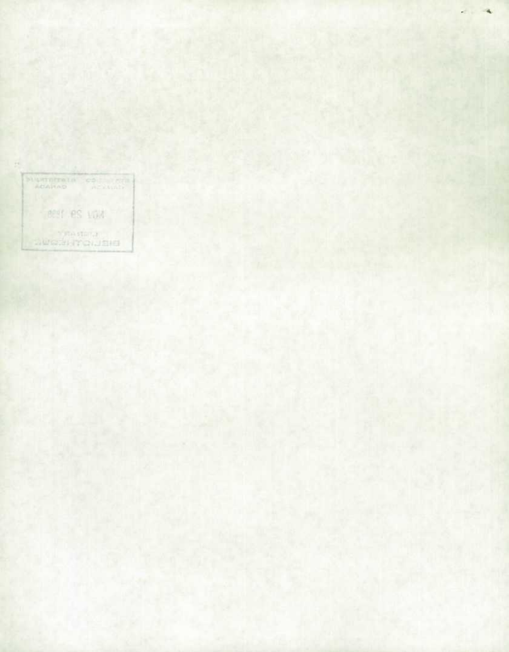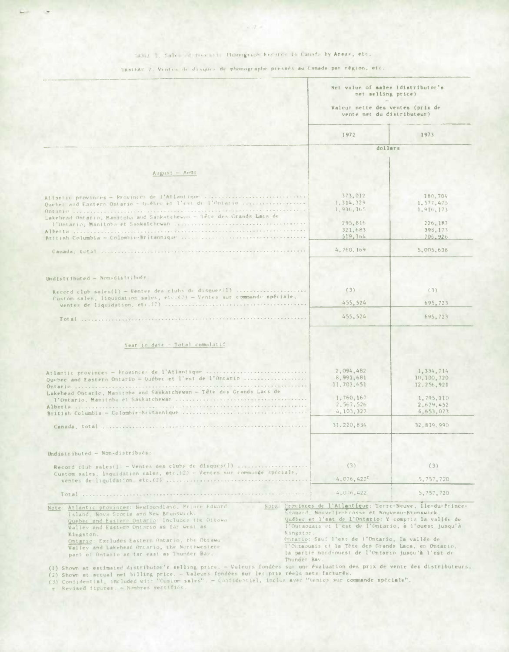tains 2. Sale of Hammore Chanograph Records in Canada by Areas, etc.

Net value of sales (distributor's net selling price) Valeur nette des ventes (prix de vente net du distributeur) 1972 1973 dollars August - Aont Atlantic provinces - Provinces de l'Atlantique .................................<br>Quebec and Eastern Ontario - Québec et l'est de l'Ontario ................... 373.012 180.704 1, 577, 475 1,314,329 1,936,165 . . . . . . . . . . . Ontario Lakehead Ontario, Manitoha and Saskatchewin - Tête des Grands Lacs de 295.816 226.187 321,683 398, 173 Alberta 519,164 706.926 4,760,169 5.005.638 Undistributed - Non-distribués: Record club sales(1) - Ventes des clubs de disques(1) .....................  $(3)$  $(3)$ 455,524 695,723 455.524 695.723 Year to date - Total cumulatif 2,094,482 1,334,714 Atlantic provinces - Province: de l'Atlantique ................................ 8,991,681 Quebec and Eastern Ontario - Québec et l'est de l'Ontario .................. 10,100,720 11,703,651 12,256,921 . . . . . . . . . . Ontario. Lakehead Ontario, Manitoba and Saskatchewan - Tête des Grands Lacs de 1,760,167 1,795,110 2,567,526 2,679,452 Alberta 4,653,073 4,103,327 31.220.834 32.819.990 Undistributed - Non-distribués: Record club sales(1) - Ventes des clubs de disques(1) ....................  $(3)$  $(3)$  $4.076.422^{T}$ 5,757,720  $4,07n,422$ 5,757,720

TANIEAU 2. Ventes de disques de phonographe pressés au Canada par région, etc.

Note Provinces de l'Atlantique: Terre-Neuve, Ile-du-Prince-Note: Atlantic provinces: Newfoundland, Prince Edward Island, Nova Scotia and New Brunswick. Quebec and Eastern Ontario: Includes the Ottawa<br>Valley and Eastern Ontario as far west as Québec et l'est de l'Ontario: Y compris la vallée de 'Outaouais et l'est de l'Ontario, à l'ouest jusqu'à Kingstor. Kingston. Ontario: Excludes Eastern Ontario, the Ottawa Ontario: Sauf l'est de l'Ontario, la vallée de l'Outaouais et la Tête des Grands Lacs, en Ontario. Valley and Lakehead Ontario, the Northwestern la partie nord-ouest de l'Ontario jusqu'à l'est de part of Ontario as far east as Thunder Bay. Thunder Bay

(1) Shown at estimated distributor's selling price. - Valeurs fondées sur une évaluation des prix de vente des distributeurs, (2) Shown at actual net billing price. - Valeurs fondées sur les prix réels nets facturés.<br>(3) Confidential, included with "Custom sales". - Confidentiel, inclus avec "Ventes sur commande spéciale".

r Revised figures. - Nombres rectifiés.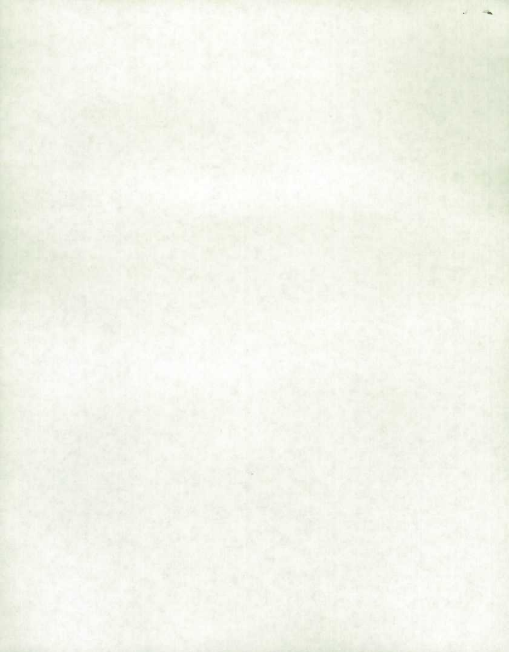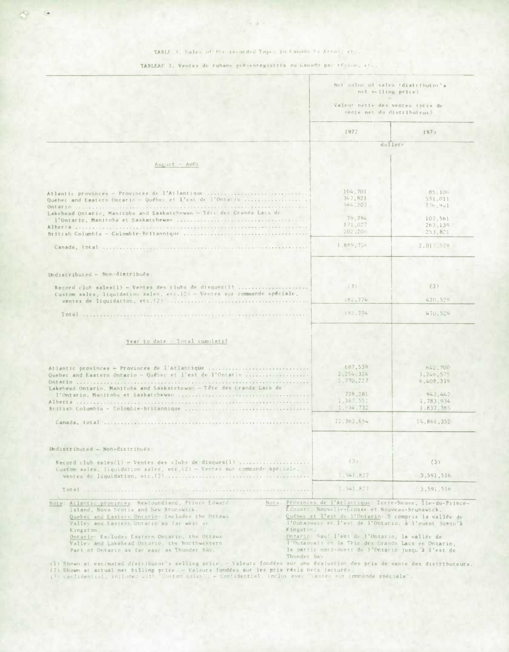#### TABLE 3. Sales of Pre-recorded Tapes in Canada by Areas, etc.

|                                                                                                                                                                                                         |                                                                                                                                                                                                                                       | Net value of sales (distributor's<br>net selling price).       |  |  |  |
|---------------------------------------------------------------------------------------------------------------------------------------------------------------------------------------------------------|---------------------------------------------------------------------------------------------------------------------------------------------------------------------------------------------------------------------------------------|----------------------------------------------------------------|--|--|--|
|                                                                                                                                                                                                         |                                                                                                                                                                                                                                       | Valcur nette des ventes (piïx de<br>vente net du distributeur) |  |  |  |
|                                                                                                                                                                                                         | 1972                                                                                                                                                                                                                                  | 197.1                                                          |  |  |  |
|                                                                                                                                                                                                         |                                                                                                                                                                                                                                       | dollars                                                        |  |  |  |
| August - Août                                                                                                                                                                                           |                                                                                                                                                                                                                                       |                                                                |  |  |  |
|                                                                                                                                                                                                         |                                                                                                                                                                                                                                       |                                                                |  |  |  |
|                                                                                                                                                                                                         |                                                                                                                                                                                                                                       |                                                                |  |  |  |
| Atlantic provinces - Provinces de l'Atlantique<br>Quebec and Eastern Ontario - Québec et l'est de l'Ontario                                                                                             | 104,701<br>347,821                                                                                                                                                                                                                    | 85.106<br>531,011                                              |  |  |  |
|                                                                                                                                                                                                         | 984.207                                                                                                                                                                                                                               | 776, 941                                                       |  |  |  |
| Lakehead Ontario, Manitoba and Saskatchewan - Tête des Grands Lacs de                                                                                                                                   | 79.794                                                                                                                                                                                                                                | 107, 501                                                       |  |  |  |
|                                                                                                                                                                                                         | 171,027                                                                                                                                                                                                                               | 263,139                                                        |  |  |  |
|                                                                                                                                                                                                         | 202,200                                                                                                                                                                                                                               | 253,821                                                        |  |  |  |
|                                                                                                                                                                                                         | 1.889,75*                                                                                                                                                                                                                             | 2,017,579                                                      |  |  |  |
|                                                                                                                                                                                                         |                                                                                                                                                                                                                                       |                                                                |  |  |  |
|                                                                                                                                                                                                         |                                                                                                                                                                                                                                       |                                                                |  |  |  |
| Undistributed - Non-distribués:                                                                                                                                                                         |                                                                                                                                                                                                                                       |                                                                |  |  |  |
| Record club sales(1) - Ventes des clubs de disques(1)                                                                                                                                                   | (3)                                                                                                                                                                                                                                   | (3)                                                            |  |  |  |
| Custom sales, liquidation sales, etc. $(2)$ - Ventes sur commande speciale,                                                                                                                             | 182, 774                                                                                                                                                                                                                              | 470.529                                                        |  |  |  |
|                                                                                                                                                                                                         | 182,774                                                                                                                                                                                                                               | 470.529                                                        |  |  |  |
|                                                                                                                                                                                                         |                                                                                                                                                                                                                                       |                                                                |  |  |  |
| Year to date - Total cumulatif                                                                                                                                                                          |                                                                                                                                                                                                                                       |                                                                |  |  |  |
|                                                                                                                                                                                                         |                                                                                                                                                                                                                                       |                                                                |  |  |  |
| Atlantic provinces - Provinces de l'Atlantique                                                                                                                                                          | 687,539                                                                                                                                                                                                                               | 642,700                                                        |  |  |  |
| Quebec and Eastern Ontario - Québec et l'est de l'Ontario                                                                                                                                               | 2,254.324                                                                                                                                                                                                                             | 3,246,575                                                      |  |  |  |
| Lakehead Ontario, Manitoba and Saskatchewan - Tête des Grands Lacs de                                                                                                                                   | 5,770,227                                                                                                                                                                                                                             | 6,408,319                                                      |  |  |  |
|                                                                                                                                                                                                         | 729,281                                                                                                                                                                                                                               | 942.442                                                        |  |  |  |
|                                                                                                                                                                                                         | 1,387.551                                                                                                                                                                                                                             | 1,783,934                                                      |  |  |  |
|                                                                                                                                                                                                         | 1.534.732                                                                                                                                                                                                                             | 1.837.385                                                      |  |  |  |
|                                                                                                                                                                                                         | 12.363.654                                                                                                                                                                                                                            | 14,861,352                                                     |  |  |  |
|                                                                                                                                                                                                         |                                                                                                                                                                                                                                       |                                                                |  |  |  |
| Undistributed $-$ Non-distribués:                                                                                                                                                                       |                                                                                                                                                                                                                                       |                                                                |  |  |  |
|                                                                                                                                                                                                         |                                                                                                                                                                                                                                       |                                                                |  |  |  |
| Record club sales $(1)$ - Ventes des clubs de disques $(1)$<br>Custom sales, liquidation sales, etc. $(2)$ - Ventes sur commande spécials,                                                              | (3)                                                                                                                                                                                                                                   | (3)                                                            |  |  |  |
|                                                                                                                                                                                                         | 1.541.827                                                                                                                                                                                                                             | 3,591,516                                                      |  |  |  |
| Total concernances conservatives and concernative conservative conservatives                                                                                                                            | 1.541.827                                                                                                                                                                                                                             | 3.591.516                                                      |  |  |  |
| Note: Atlantic provinces: Newfoundland, Prince Edward<br>Nota<br>Island, Nova Scotis and New Brunswick.<br>Quebec and Eastern Ontario: Includes the Ottawa<br>Valley and Eastern Ontario as far west as | Provinces de l'Atlantique: Terre-Neuve, Île-du-Prince-<br>Édouard. Nouvelle-Écosse et Nouveau-Brunswick,<br>Québec et l'est de l'Ontario: Y compris la vallée de<br>l'Outaouair et l'est de l'Ontario, à l'ouest jusqu'à<br>Kingston. |                                                                |  |  |  |
| Kingston.<br>Ontario: Excludes Eastern Ontario, the Ottawa                                                                                                                                              | Ontario: Sauf l'est de l'Ontario, la vallée de                                                                                                                                                                                        |                                                                |  |  |  |
| Valley and Lakehead Ontario, the Northwestern                                                                                                                                                           | l'Outaquais et la Tête des Grands Lacs en Ontario.                                                                                                                                                                                    |                                                                |  |  |  |
| Part of Ontario as far east as Thunder Bay.                                                                                                                                                             |                                                                                                                                                                                                                                       | la partia nord-ouest de l'Ontario jusqu'à l'est de             |  |  |  |

TABLEAU 3. Ventes de rubans pré-enregistrés au Canada par récion, etc.

Thunder Bay.<br>(1) Shown at estimated distributor's selling price. - Valeurs fondées sur une évaluation des prix de vente des distributeurs.<br>(2) Shown at actual net billing price. - Valeurs fondées sur les prix réels nets fa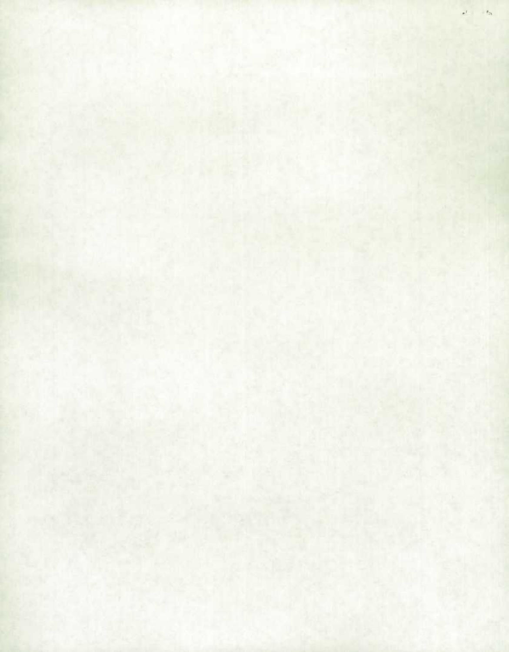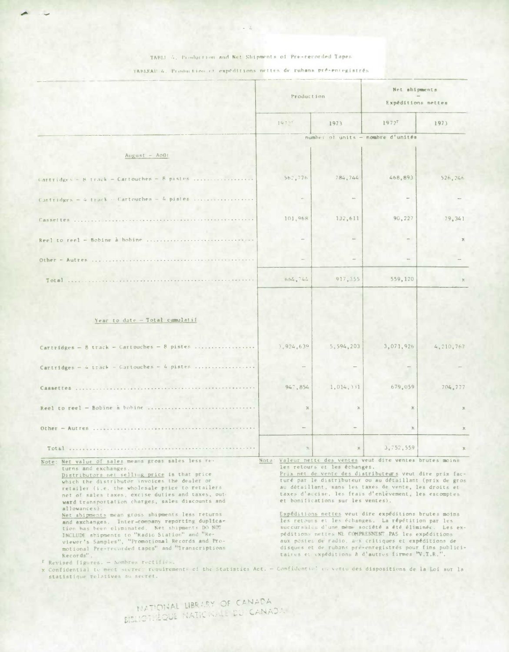### TABLE 4, Production and Net Shipments of Pre-recorded Tapes.

#### TABLEAU 4. Production of expéditions nettes de rubans pré-enregistrés

|                                                                                                                                                                                                                                                                                                                                                                                                                                                                                                                                                                                                                                                                                                                                       | Production                                                                                                                                                                                                                                                                                                                                                                                                                                                                                                                                                                                                                                                                                                                                                                          |             | Net shipments<br>Expéditions nettes |           |  |
|---------------------------------------------------------------------------------------------------------------------------------------------------------------------------------------------------------------------------------------------------------------------------------------------------------------------------------------------------------------------------------------------------------------------------------------------------------------------------------------------------------------------------------------------------------------------------------------------------------------------------------------------------------------------------------------------------------------------------------------|-------------------------------------------------------------------------------------------------------------------------------------------------------------------------------------------------------------------------------------------------------------------------------------------------------------------------------------------------------------------------------------------------------------------------------------------------------------------------------------------------------------------------------------------------------------------------------------------------------------------------------------------------------------------------------------------------------------------------------------------------------------------------------------|-------------|-------------------------------------|-----------|--|
|                                                                                                                                                                                                                                                                                                                                                                                                                                                                                                                                                                                                                                                                                                                                       | 1971                                                                                                                                                                                                                                                                                                                                                                                                                                                                                                                                                                                                                                                                                                                                                                                | 1973        | $1972$ <sup>T</sup>                 | 1973      |  |
|                                                                                                                                                                                                                                                                                                                                                                                                                                                                                                                                                                                                                                                                                                                                       |                                                                                                                                                                                                                                                                                                                                                                                                                                                                                                                                                                                                                                                                                                                                                                                     |             | number of units - nombre d'unités   |           |  |
| August - Août                                                                                                                                                                                                                                                                                                                                                                                                                                                                                                                                                                                                                                                                                                                         |                                                                                                                                                                                                                                                                                                                                                                                                                                                                                                                                                                                                                                                                                                                                                                                     |             |                                     |           |  |
| Cartridges - 8 track - Cartouches - 8 pistes                                                                                                                                                                                                                                                                                                                                                                                                                                                                                                                                                                                                                                                                                          | 562,776                                                                                                                                                                                                                                                                                                                                                                                                                                                                                                                                                                                                                                                                                                                                                                             | 784, 744    | 468,893                             | 526, 246  |  |
| Cattridges - 4 track - Cartouches - 4 pistes                                                                                                                                                                                                                                                                                                                                                                                                                                                                                                                                                                                                                                                                                          |                                                                                                                                                                                                                                                                                                                                                                                                                                                                                                                                                                                                                                                                                                                                                                                     |             |                                     |           |  |
|                                                                                                                                                                                                                                                                                                                                                                                                                                                                                                                                                                                                                                                                                                                                       | 101,968                                                                                                                                                                                                                                                                                                                                                                                                                                                                                                                                                                                                                                                                                                                                                                             | 132,611     | 90, 227                             | 79, 341   |  |
| Reel to reel - Bobine à bobine                                                                                                                                                                                                                                                                                                                                                                                                                                                                                                                                                                                                                                                                                                        |                                                                                                                                                                                                                                                                                                                                                                                                                                                                                                                                                                                                                                                                                                                                                                                     |             |                                     |           |  |
|                                                                                                                                                                                                                                                                                                                                                                                                                                                                                                                                                                                                                                                                                                                                       |                                                                                                                                                                                                                                                                                                                                                                                                                                                                                                                                                                                                                                                                                                                                                                                     |             |                                     |           |  |
| Total suppresentations are accessories and consequently access to                                                                                                                                                                                                                                                                                                                                                                                                                                                                                                                                                                                                                                                                     | nb4.744                                                                                                                                                                                                                                                                                                                                                                                                                                                                                                                                                                                                                                                                                                                                                                             | 917, 355    | 559,120                             |           |  |
| Year to date - Total cumulatii                                                                                                                                                                                                                                                                                                                                                                                                                                                                                                                                                                                                                                                                                                        |                                                                                                                                                                                                                                                                                                                                                                                                                                                                                                                                                                                                                                                                                                                                                                                     |             |                                     |           |  |
| $Cartrtdges - 8 track - Cartouches - 8 pixels $                                                                                                                                                                                                                                                                                                                                                                                                                                                                                                                                                                                                                                                                                       | 3,924,639                                                                                                                                                                                                                                                                                                                                                                                                                                                                                                                                                                                                                                                                                                                                                                           | 5, 594, 203 | 3,071,926                           | 4,210,767 |  |
| Cartridges - $\omega$ track - Cartouches - $\omega$ pistes                                                                                                                                                                                                                                                                                                                                                                                                                                                                                                                                                                                                                                                                            |                                                                                                                                                                                                                                                                                                                                                                                                                                                                                                                                                                                                                                                                                                                                                                                     |             |                                     |           |  |
|                                                                                                                                                                                                                                                                                                                                                                                                                                                                                                                                                                                                                                                                                                                                       | 947,854                                                                                                                                                                                                                                                                                                                                                                                                                                                                                                                                                                                                                                                                                                                                                                             | 1,014,331   | 679,059                             | 704.777   |  |
|                                                                                                                                                                                                                                                                                                                                                                                                                                                                                                                                                                                                                                                                                                                                       | $\boldsymbol{\times}$                                                                                                                                                                                                                                                                                                                                                                                                                                                                                                                                                                                                                                                                                                                                                               |             | $\mathbf x$                         | $\propto$ |  |
|                                                                                                                                                                                                                                                                                                                                                                                                                                                                                                                                                                                                                                                                                                                                       |                                                                                                                                                                                                                                                                                                                                                                                                                                                                                                                                                                                                                                                                                                                                                                                     |             | $\chi$                              | $\chi$    |  |
| Total accessoristic contractive contractive contractive contractive                                                                                                                                                                                                                                                                                                                                                                                                                                                                                                                                                                                                                                                                   |                                                                                                                                                                                                                                                                                                                                                                                                                                                                                                                                                                                                                                                                                                                                                                                     |             | 3,752,559                           |           |  |
| Net value of sales means gross sales less re-<br>Note:<br>turns and exchanges.<br>Distributors net selling price is that price<br>which the distributor invoices the dealer or<br>retailer (i.e. the wholesale price to retailers<br>net of sales taxes, excise duties and taxes, out-<br>ward transportation charges, sales discounts and<br>allowances).<br>Net shipments mean gross shipments less returns<br>and exchanges. Inter-company reporting duplica-<br>tion has been eliminated. Net shipments DO NOT<br>INCLUDE shipments to "Radio Station" and "Re-<br>viewer's Samples", "Promotional Records and Pro-<br>motional Pre-recorded tapes" and "Transcriptions<br>Records".<br>$r$ Revised figures. - Nombres rectifies. | Valeur nette des ventes veut dire ventes brutes moins<br>Nota:<br>les retours et les échanges.<br>Prix net de vente des distributeurs veut dire prix fac-<br>turé par le distributeur ou au détaillant (prix de gros<br>au détaillant, sans les taxes de vente, les droits et<br>taxes d'accise, les frais d'enlèvement, les escomptes<br>et bonifications sur les ventes).<br>Expéditions nettes veut dire expéditions brutes moins<br>les retouts et les échanges. La répétition par les<br>succursales d'une même société a été éliminée. Les ex-<br>péditions nettes NE COMPRENNENT PAS les expéditions<br>aux postes de radio, anx critiques et expéditions de<br>disques et de rubans pre-enregistrés pour fins publici-<br>taires et expéditions à d'autres firmes "V.T.R.". |             |                                     |           |  |
| x Confidential to meet secrecy requirements of the Statistics Act. - Confidential en vertu des dispositions de la Loi sur la<br>statistique relatives au secret.                                                                                                                                                                                                                                                                                                                                                                                                                                                                                                                                                                      |                                                                                                                                                                                                                                                                                                                                                                                                                                                                                                                                                                                                                                                                                                                                                                                     |             |                                     |           |  |

NATIONAL LIBRARY OF CANADA